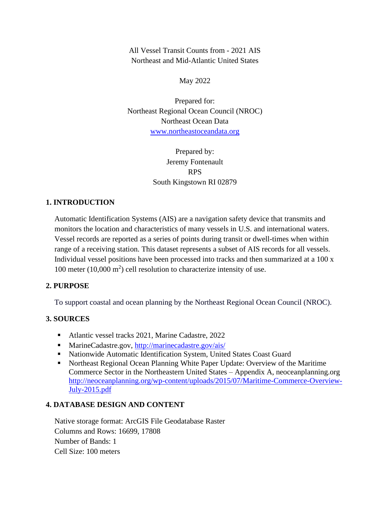All Vessel Transit Counts from - 2021 AIS Northeast and Mid-Atlantic United States

May 2022

Prepared for: Northeast Regional Ocean Council (NROC) Northeast Ocean Data [www.northeastoceandata.org](http://www.northeastoceandata.org/)

> Prepared by: Jeremy Fontenault RPS South Kingstown RI 02879

# **1. INTRODUCTION**

Automatic Identification Systems (AIS) are a navigation safety device that transmits and monitors the location and characteristics of many vessels in U.S. and international waters. Vessel records are reported as a series of points during transit or dwell-times when within range of a receiving station. This dataset represents a subset of AIS records for all vessels. Individual vessel positions have been processed into tracks and then summarized at a 100 x 100 meter  $(10,000 \text{ m}^2)$  cell resolution to characterize intensity of use.

### **2. PURPOSE**

To support coastal and ocean planning by the Northeast Regional Ocean Council (NROC).

# **3. SOURCES**

- Atlantic vessel tracks 2021, Marine Cadastre, 2022
- MarineCadastre.gov,<http://marinecadastre.gov/ais/>
- Nationwide Automatic Identification System, United States Coast Guard
- Northeast Regional Ocean Planning White Paper Update: Overview of the Maritime Commerce Sector in the Northeastern United States – Appendix A, neoceanplanning.org [http://neoceanplanning.org/wp-content/uploads/2015/07/Maritime-Commerce-Overview-](http://neoceanplanning.org/wp-content/uploads/2015/07/Maritime-Commerce-Overview-July-2015.pdf)[July-2015.pdf](http://neoceanplanning.org/wp-content/uploads/2015/07/Maritime-Commerce-Overview-July-2015.pdf)

### **4. DATABASE DESIGN AND CONTENT**

Native storage format: ArcGIS File Geodatabase Raster Columns and Rows: 16699, 17808 Number of Bands: 1 Cell Size: 100 meters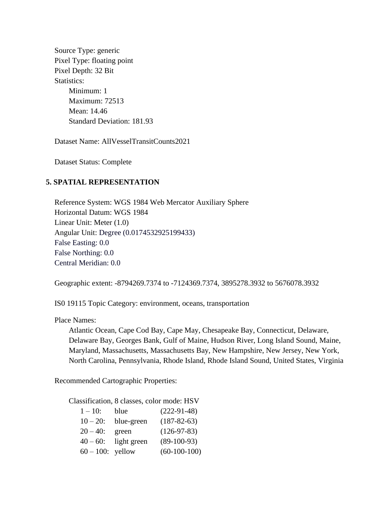Source Type: generic Pixel Type: floating point Pixel Depth: 32 Bit Statistics: Minimum: 1 Maximum: 72513 Mean: 14.46 Standard Deviation: 181.93

Dataset Name: AllVesselTransitCounts2021

Dataset Status: Complete

#### **5. SPATIAL REPRESENTATION**

Reference System: WGS 1984 Web Mercator Auxiliary Sphere Horizontal Datum: WGS 1984 Linear Unit: Meter (1.0) Angular Unit: Degree (0.0174532925199433) False Easting: 0.0 False Northing: 0.0 Central Meridian: 0.0

Geographic extent: -8794269.7374 to -7124369.7374, 3895278.3932 to 5676078.3932

IS0 19115 Topic Category: environment, oceans, transportation

Place Names:

Atlantic Ocean, Cape Cod Bay, Cape May, Chesapeake Bay, Connecticut, Delaware, Delaware Bay, Georges Bank, Gulf of Maine, Hudson River, Long Island Sound, Maine, Maryland, Massachusetts, Massachusetts Bay, New Hampshire, New Jersey, New York, North Carolina, Pennsylvania, Rhode Island, Rhode Island Sound, United States, Virginia

Recommended Cartographic Properties:

Classification, 8 classes, color mode: HSV

| $1 - 10$ :          | blue        | $(222-91-48)$     |
|---------------------|-------------|-------------------|
| $10 - 20$ :         | blue-green  | $(187 - 82 - 63)$ |
| $20 - 40$ :         | green       | $(126-97-83)$     |
| $40 - 60$ :         | light green | $(89-100-93)$     |
| $60 - 100$ : yellow |             | $(60-100-100)$    |